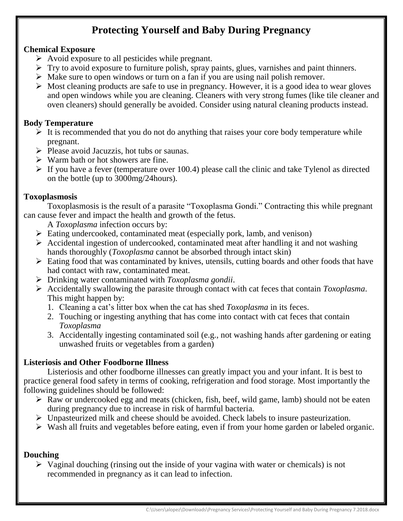# **Protecting Yourself and Baby During Pregnancy**

#### **Chemical Exposure**

- $\triangleright$  Avoid exposure to all pesticides while pregnant.
- $\triangleright$  Try to avoid exposure to furniture polish, spray paints, glues, varnishes and paint thinners.
- $\triangleright$  Make sure to open windows or turn on a fan if you are using nail polish remover.
- $\triangleright$  Most cleaning products are safe to use in pregnancy. However, it is a good idea to wear gloves and open windows while you are cleaning. Cleaners with very strong fumes (like tile cleaner and oven cleaners) should generally be avoided. Consider using natural cleaning products instead.

# **Body Temperature**

- $\triangleright$  It is recommended that you do not do anything that raises your core body temperature while pregnant.
- $\triangleright$  Please avoid Jacuzzis, hot tubs or saunas.
- $\triangleright$  Warm bath or hot showers are fine.
- $\triangleright$  If you have a fever (temperature over 100.4) please call the clinic and take Tylenol as directed on the bottle (up to 3000mg/24hours).

## **Toxoplasmosis**

Toxoplasmosis is the result of a parasite "Toxoplasma Gondi." Contracting this while pregnant can cause fever and impact the health and growth of the fetus.

A *Toxoplasma* infection occurs by:

- $\triangleright$  Eating undercooked, contaminated meat (especially pork, lamb, and venison)
- $\triangleright$  Accidental ingestion of undercooked, contaminated meat after handling it and not washing hands thoroughly (*Toxoplasma* cannot be absorbed through intact skin)
- $\triangleright$  Eating food that was contaminated by knives, utensils, cutting boards and other foods that have had contact with raw, contaminated meat.
- Drinking water contaminated with *Toxoplasma gondii*.
- Accidentally swallowing the parasite through contact with cat feces that contain *Toxoplasma*. This might happen by:
	- 1. Cleaning a cat's litter box when the cat has shed *Toxoplasma* in its feces.
	- 2. Touching or ingesting anything that has come into contact with cat feces that contain *Toxoplasma*
	- 3. Accidentally ingesting contaminated soil (e.g., not washing hands after gardening or eating unwashed fruits or vegetables from a garden)

## **Listeriosis and Other Foodborne Illness**

Listeriosis and other foodborne illnesses can greatly impact you and your infant. It is best to practice general food safety in terms of cooking, refrigeration and food storage. Most importantly the following guidelines should be followed:

- $\triangleright$  Raw or undercooked egg and meats (chicken, fish, beef, wild game, lamb) should not be eaten during pregnancy due to increase in risk of harmful bacteria.
- $\triangleright$  Unpasteurized milk and cheese should be avoided. Check labels to insure pasteurization.
- $\triangleright$  Wash all fruits and vegetables before eating, even if from your home garden or labeled organic.

## **Douching**

 $\triangleright$  Vaginal douching (rinsing out the inside of your vagina with water or chemicals) is not recommended in pregnancy as it can lead to infection.